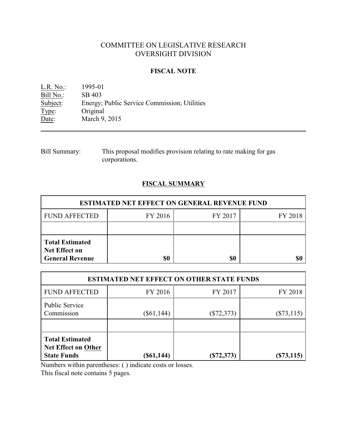# COMMITTEE ON LEGISLATIVE RESEARCH OVERSIGHT DIVISION

### **FISCAL NOTE**

L.R. No.: 1995-01 Bill No.: SB 403<br>Subject: Energy; Energy; Public Service Commission; Utilities Type: Original Date: March 9, 2015

Bill Summary: This proposal modifies provision relating to rate making for gas corporations.

### **FISCAL SUMMARY**

| <b>ESTIMATED NET EFFECT ON GENERAL REVENUE FUND</b>                      |         |         |         |  |
|--------------------------------------------------------------------------|---------|---------|---------|--|
| <b>FUND AFFECTED</b>                                                     | FY 2016 | FY 2017 | FY 2018 |  |
|                                                                          |         |         |         |  |
| <b>Total Estimated</b><br><b>Net Effect on</b><br><b>General Revenue</b> | \$0     | \$0     |         |  |

| <b>ESTIMATED NET EFFECT ON OTHER STATE FUNDS</b>                           |                  |              |              |  |
|----------------------------------------------------------------------------|------------------|--------------|--------------|--|
| <b>FUND AFFECTED</b>                                                       | FY 2016          | FY 2017      | FY 2018      |  |
| <b>Public Service</b><br>Commission                                        | $(\$61,144)$     | $(\$72,373)$ | $(\$73,115)$ |  |
| <b>Total Estimated</b><br><b>Net Effect on Other</b><br><b>State Funds</b> | $($ \$61,144 $)$ | (S72, 373)   | $(*73,115)$  |  |

Numbers within parentheses: ( ) indicate costs or losses.

This fiscal note contains 5 pages.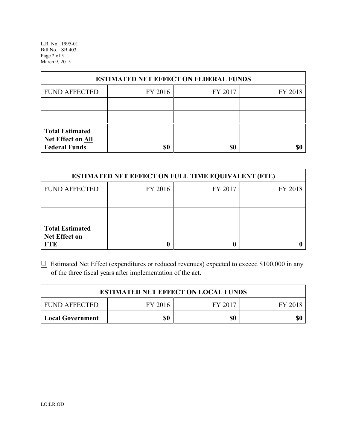L.R. No. 1995-01 Bill No. SB 403 Page 2 of 5 March 9, 2015

| <b>ESTIMATED NET EFFECT ON FEDERAL FUNDS</b>                        |         |         |         |  |
|---------------------------------------------------------------------|---------|---------|---------|--|
| <b>FUND AFFECTED</b>                                                | FY 2016 | FY 2017 | FY 2018 |  |
|                                                                     |         |         |         |  |
|                                                                     |         |         |         |  |
| <b>Total Estimated</b><br>Net Effect on All<br><b>Federal Funds</b> | \$0     | \$0     |         |  |

| <b>ESTIMATED NET EFFECT ON FULL TIME EQUIVALENT (FTE)</b>    |         |         |         |  |
|--------------------------------------------------------------|---------|---------|---------|--|
| <b>FUND AFFECTED</b>                                         | FY 2016 | FY 2017 | FY 2018 |  |
|                                                              |         |         |         |  |
|                                                              |         |         |         |  |
| <b>Total Estimated</b><br><b>Net Effect on</b><br><b>FTE</b> |         |         |         |  |

 $\Box$  Estimated Net Effect (expenditures or reduced revenues) expected to exceed \$100,000 in any of the three fiscal years after implementation of the act.

| <b>ESTIMATED NET EFFECT ON LOCAL FUNDS</b> |         |         |         |
|--------------------------------------------|---------|---------|---------|
| <b>FUND AFFECTED</b>                       | FY 2016 | FY 2017 | FY 2018 |
| <b>Local Government</b>                    | \$0     | \$0     | \$0     |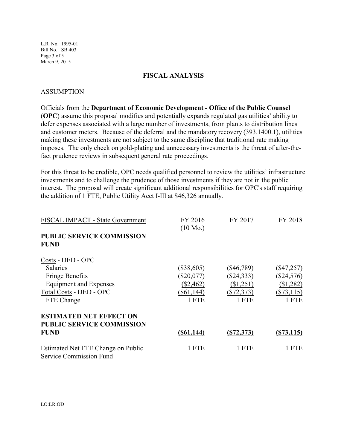L.R. No. 1995-01 Bill No. SB 403 Page 3 of 5 March 9, 2015

#### **FISCAL ANALYSIS**

#### ASSUMPTION

Officials from the **Department of Economic Development - Office of the Public Counsel** (**OPC**) assume this proposal modifies and potentially expands regulated gas utilities' ability to defer expenses associated with a large number of investments, from plants to distribution lines and customer meters. Because of the deferral and the mandatory recovery (393.1400.1), utilities making these investments are not subject to the same discipline that traditional rate making imposes. The only check on gold-plating and unnecessary investments is the threat of after-thefact prudence reviews in subsequent general rate proceedings.

For this threat to be credible, OPC needs qualified personnel to review the utilities' infrastructure investments and to challenge the prudence of those investments if they are not in the public interest. The proposal will create significant additional responsibilities for OPC's staff requiring the addition of 1 FTE, Public Utility Acct I-III at \$46,326 annually.

| FISCAL IMPACT - State Government                                       | FY 2016<br>$(10 \text{ Mo.})$      | FY 2017                            | FY 2018                            |
|------------------------------------------------------------------------|------------------------------------|------------------------------------|------------------------------------|
| <b>PUBLIC SERVICE COMMISSION</b><br><b>FUND</b>                        |                                    |                                    |                                    |
| Costs - DED - OPC<br>Salaries<br><b>Fringe Benefits</b>                | $(\$38,605)$<br>$(\$20,077)$       | $(\$46,789)$<br>$(\$24,333)$       | $(\$47,257)$<br>$(\$24,576)$       |
| <b>Equipment and Expenses</b><br>Total Costs - DED - OPC<br>FTE Change | (\$2,462)<br>$(\$61,144)$<br>1 FTE | (\$1,251)<br>$(\$72,373)$<br>1 FTE | (\$1,282)<br>$(\$73,115)$<br>1 FTE |
| <b>ESTIMATED NET EFFECT ON</b><br><b>PUBLIC SERVICE COMMISSION</b>     |                                    |                                    |                                    |
| <b>FUND</b>                                                            | $($ \$61,144 $)$                   | ( \$72, 373)                       | ( \$73,115)                        |
| Estimated Net FTE Change on Public<br>Service Commission Fund          | 1 FTE                              | 1 FTE                              | 1 FTE                              |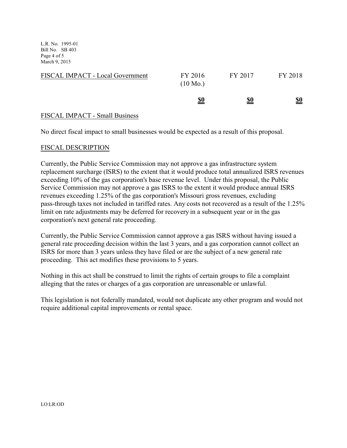L.R. No. 1995-01 Bill No. SB 403 Page 4 of 5 March 9, 2015

| FISCAL IMPACT - Local Government | FY 2016<br>$(10 \text{ Mo.})$ | FY 2017    | FY 2018    |
|----------------------------------|-------------------------------|------------|------------|
|                                  | <u>\$0</u>                    | <u>\$0</u> | <u>\$0</u> |

### FISCAL IMPACT - Small Business

No direct fiscal impact to small businesses would be expected as a result of this proposal.

### FISCAL DESCRIPTION

Currently, the Public Service Commission may not approve a gas infrastructure system replacement surcharge (ISRS) to the extent that it would produce total annualized ISRS revenues exceeding 10% of the gas corporation's base revenue level. Under this proposal, the Public Service Commission may not approve a gas ISRS to the extent it would produce annual ISRS revenues exceeding 1.25% of the gas corporation's Missouri gross revenues, excluding pass-through taxes not included in tariffed rates. Any costs not recovered as a result of the 1.25% limit on rate adjustments may be deferred for recovery in a subsequent year or in the gas corporation's next general rate proceeding.

Currently, the Public Service Commission cannot approve a gas ISRS without having issued a general rate proceeding decision within the last 3 years, and a gas corporation cannot collect an ISRS for more than 3 years unless they have filed or are the subject of a new general rate proceeding. This act modifies these provisions to 5 years.

Nothing in this act shall be construed to limit the rights of certain groups to file a complaint alleging that the rates or charges of a gas corporation are unreasonable or unlawful.

This legislation is not federally mandated, would not duplicate any other program and would not require additional capital improvements or rental space.